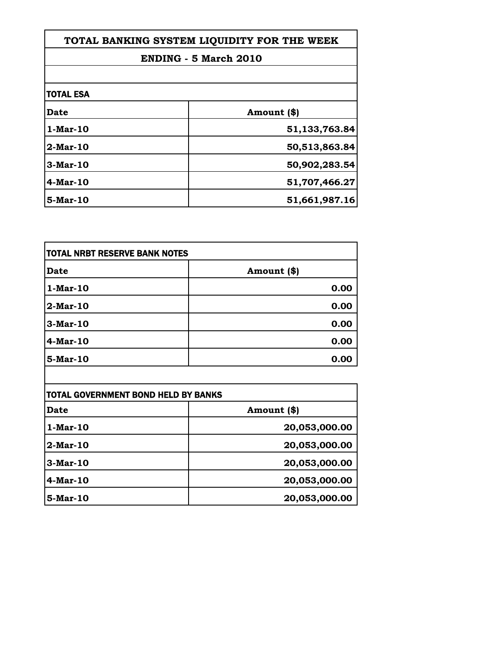| TOTAL BANKING SYSTEM LIQUIDITY FOR THE WEEK |               |
|---------------------------------------------|---------------|
| <b>ENDING - 5 March 2010</b>                |               |
|                                             |               |
| <b>TOTAL ESA</b>                            |               |
| <b>Date</b>                                 | Amount (\$)   |
| 1-Mar-10                                    | 51,133,763.84 |
| $2-Mar-10$                                  | 50,513,863.84 |
| $3-Mar-10$                                  | 50,902,283.54 |
| $4$ -Mar-10                                 | 51,707,466.27 |
| 5-Mar-10                                    | 51,661,987.16 |

| TOTAL NRBT RESERVE BANK NOTES |             |
|-------------------------------|-------------|
| <b>Date</b>                   | Amount (\$) |
| $1-Mar-10$                    | 0.00        |
| $2-Mar-10$                    | 0.00        |
| $3-Mar-10$                    | 0.00        |
| 4-Mar-10                      | 0.00        |
| 5-Mar-10                      | 0.00        |

| <b>TOTAL GOVERNMENT BOND HELD BY BANKS</b> |               |
|--------------------------------------------|---------------|
| Date                                       | Amount (\$)   |
| 1-Mar-10                                   | 20,053,000.00 |
| $2-Mar-10$                                 | 20,053,000.00 |
| $3-Mar-10$                                 | 20,053,000.00 |
| $4$ -Mar-10                                | 20,053,000.00 |
| 5-Mar-10                                   | 20,053,000.00 |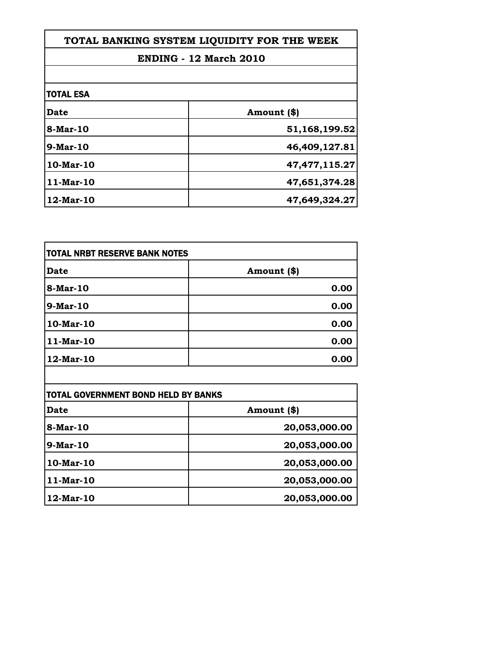| TOTAL BANKING SYSTEM LIQUIDITY FOR THE WEEK |                  |
|---------------------------------------------|------------------|
| <b>ENDING - 12 March 2010</b>               |                  |
|                                             |                  |
| <b>TOTAL ESA</b>                            |                  |
| <b>Date</b>                                 | Amount (\$)      |
| 8-Mar-10                                    | 51,168,199.52    |
| $9-Mar-10$                                  | 46,409,127.81    |
| $10$ -Mar- $10$                             | 47, 477, 115. 27 |
| $11-Mar-10$                                 | 47,651,374.28    |
| $12$ -Mar-10                                | 47,649,324.27    |

| TOTAL NRBT RESERVE BANK NOTES |             |
|-------------------------------|-------------|
| Date                          | Amount (\$) |
| 8-Mar-10                      | 0.00        |
| 9-Mar-10                      | 0.00        |
| 10-Mar-10                     | 0.00        |
| 11-Mar-10                     | 0.00        |
| 12-Mar-10                     | 0.00        |

| <b>TOTAL GOVERNMENT BOND HELD BY BANKS</b> |               |
|--------------------------------------------|---------------|
| Date                                       | Amount (\$)   |
| 8-Mar-10                                   | 20,053,000.00 |
| <b>9-Mar-10</b>                            | 20,053,000.00 |
| $10$ -Mar- $10$                            | 20,053,000.00 |
| $11-Mar-10$                                | 20,053,000.00 |
| 12-Mar-10                                  | 20,053,000.00 |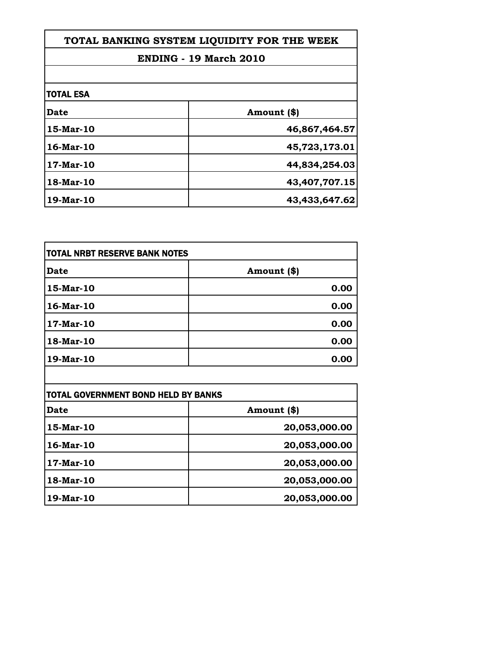| TOTAL BANKING SYSTEM LIQUIDITY FOR THE WEEK |               |
|---------------------------------------------|---------------|
| <b>ENDING - 19 March 2010</b>               |               |
|                                             |               |
| <b>TOTAL ESA</b>                            |               |
| <b>Date</b>                                 | Amount (\$)   |
| 15-Mar-10                                   | 46,867,464.57 |
| 16-Mar-10                                   | 45,723,173.01 |
| $17-Mar-10$                                 | 44,834,254.03 |
| 18-Mar-10                                   | 43,407,707.15 |
| 19-Mar-10                                   | 43,433,647.62 |

| <b>TOTAL NRBT RESERVE BANK NOTES</b> |             |
|--------------------------------------|-------------|
| <b>Date</b>                          | Amount (\$) |
| 15-Mar-10                            | 0.00        |
| 16-Mar-10                            | 0.00        |
| 17-Mar-10                            | 0.00        |
| 18-Mar-10                            | 0.00        |
| $19$ -Mar-10                         | 0.00        |

| TOTAL GOVERNMENT BOND HELD BY BANKS |               |
|-------------------------------------|---------------|
| Date                                | Amount (\$)   |
| 15-Mar-10                           | 20,053,000.00 |
| 16-Mar-10                           | 20,053,000.00 |
| 17-Mar-10                           | 20,053,000.00 |
| 18-Mar-10                           | 20,053,000.00 |
| 19-Mar-10                           | 20,053,000.00 |